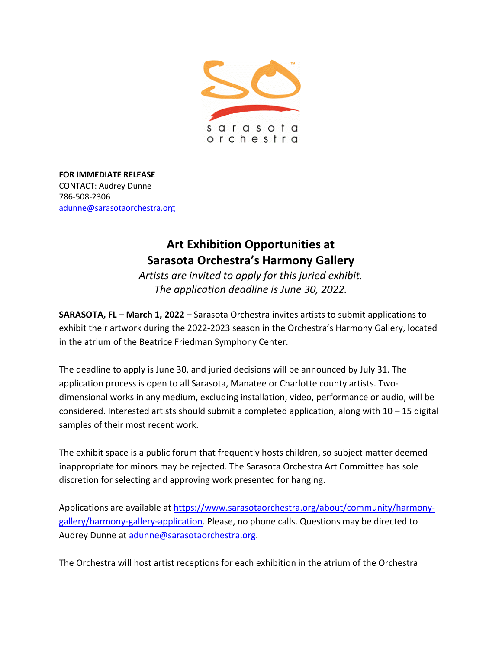

**FOR IMMEDIATE RELEASE** CONTACT: Audrey Dunne 786-508-2306 [adunne@sarasotaorchestra.org](mailto:adunne@sarasotaorchestra.org)

## **Art Exhibition Opportunities at Sarasota Orchestra's Harmony Gallery**

*Artists are invited to apply for this juried exhibit. The application deadline is June 30, 2022.*

**SARASOTA, FL – March 1, 2022 –** Sarasota Orchestra invites artists to submit applications to exhibit their artwork during the 2022-2023 season in the Orchestra's Harmony Gallery, located in the atrium of the Beatrice Friedman Symphony Center.

The deadline to apply is June 30, and juried decisions will be announced by July 31. The application process is open to all Sarasota, Manatee or Charlotte county artists. Twodimensional works in any medium, excluding installation, video, performance or audio, will be considered. Interested artists should submit a completed application, along with 10 – 15 digital samples of their most recent work.

The exhibit space is a public forum that frequently hosts children, so subject matter deemed inappropriate for minors may be rejected. The Sarasota Orchestra Art Committee has sole discretion for selecting and approving work presented for hanging.

Applications are available at [https://www.sarasotaorchestra.org/about/community/harmony](https://www.sarasotaorchestra.org/about/community/harmony-gallery/harmony-gallery-application)[gallery/harmony-gallery-application.](https://www.sarasotaorchestra.org/about/community/harmony-gallery/harmony-gallery-application) Please, no phone calls. Questions may be directed to Audrey Dunne at [adunne@sarasotaorchestra.org.](mailto:adunne@sarasotaorchestra.org)

The Orchestra will host artist receptions for each exhibition in the atrium of the Orchestra